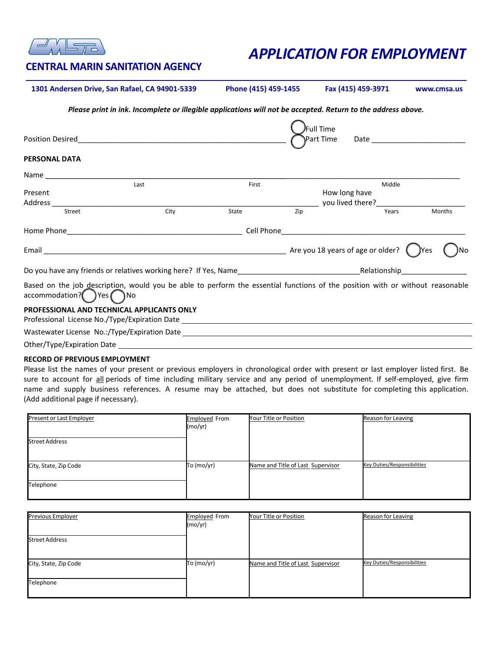

# *APPLICATION FOR EMPLOYMENT*

## **CENTRAL MARIN SANITATION AGENCY**

**1301 Andersen Drive, San Rafael, CA 94901-5339 Phone (415) 459-1455 Fax (415) 459-3971 www.cmsa.us**

*Please print in ink. Incomplete or illegible applications will not be accepted. Return to the address above.*

|                                                                                                                                                                               |      |       |     | Full Time        |              |        |  |
|-------------------------------------------------------------------------------------------------------------------------------------------------------------------------------|------|-------|-----|------------------|--------------|--------|--|
| <b>Position Desired</b>                                                                                                                                                       |      |       |     | Part Time        | Date         |        |  |
| <b>PERSONAL DATA</b>                                                                                                                                                          |      |       |     |                  |              |        |  |
| Name _________                                                                                                                                                                |      |       |     |                  |              |        |  |
|                                                                                                                                                                               | Last | First |     |                  | Middle       |        |  |
| Present                                                                                                                                                                       |      |       |     | How long have    |              |        |  |
| Address                                                                                                                                                                       |      |       |     | you lived there? |              |        |  |
| Street                                                                                                                                                                        | City | State | Zip |                  | Years        | Months |  |
|                                                                                                                                                                               |      |       |     |                  |              |        |  |
|                                                                                                                                                                               |      |       |     |                  |              | JYes   |  |
| Do you have any friends or relatives working here? If Yes, Name                                                                                                               |      |       |     |                  | Relationship |        |  |
| Based on the job description, would you be able to perform the essential functions of the position with or without reasonable<br>accommodation? <sup>1</sup> Yes <sup>1</sup> | 1No  |       |     |                  |              |        |  |
| <b>PROFESSIONAL AND TECHNICAL APPLICANTS ONLY</b>                                                                                                                             |      |       |     |                  |              |        |  |

Professional License No./Type/Expiration Date

Wastewater License No.:/Type/Expiration Date

Other/Type/Expiration Date

#### **RECORD OF PREVIOUS EMPLOYMENT**

Please list the names of your present or previous employers in chronological order with present or last employer listed first. Be sure to account for all periods of time including military service and any period of unemployment. If self-employed, give firm name and supply business references. A resume may be attached, but does not substitute for completing this application. (Add additional page if necessary).

| Present or Last Employer | <b>Employed From</b> | Your Title or Position            | Reason for Leaving          |
|--------------------------|----------------------|-----------------------------------|-----------------------------|
|                          | (mo/yr)              |                                   |                             |
| <b>Street Address</b>    |                      |                                   |                             |
| City, State, Zip Code    | To (mo/yr)           | Name and Title of Last_Supervisor | Key Duties/Responsibilities |
| Telephone                |                      |                                   |                             |

| Previous Employer     | <b>Employed From</b><br>(mo/yr) | Your Title or Position            | Reason for Leaving          |
|-----------------------|---------------------------------|-----------------------------------|-----------------------------|
| <b>Street Address</b> |                                 |                                   |                             |
| City, State, Zip Code | To (mo/yr)                      | Name and Title of Last Supervisor | Key Duties/Responsibilities |
| Telephone             |                                 |                                   |                             |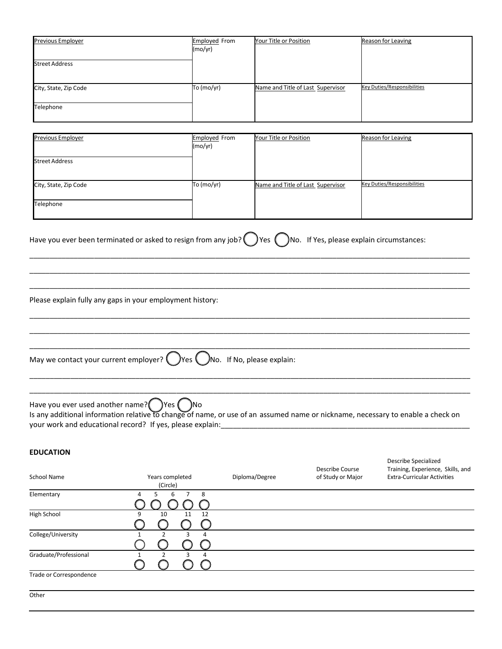| Previous Employer<br><b>Street Address</b> | <b>Employed From</b><br>(mo/yr) | Your Title or Position            | Reason for Leaving                 |
|--------------------------------------------|---------------------------------|-----------------------------------|------------------------------------|
| City, State, Zip Code                      | To (mo/yr)                      | Name and Title of Last Supervisor | <b>Key Duties/Responsibilities</b> |
| Telephone                                  |                                 |                                   |                                    |

| Previous Employer     | <b>Employed From</b><br>(mo/yr) | Your Title or Position            | Reason for Leaving          |
|-----------------------|---------------------------------|-----------------------------------|-----------------------------|
| <b>Street Address</b> |                                 |                                   |                             |
| City, State, Zip Code | To (mo/yr)                      | Name and Title of Last Supervisor | Key Duties/Responsibilities |
| Telephone             |                                 |                                   |                             |

\_\_\_\_\_\_\_\_\_\_\_\_\_\_\_\_\_\_\_\_\_\_\_\_\_\_\_\_\_\_\_\_\_\_\_\_\_\_\_\_\_\_\_\_\_\_\_\_\_\_\_\_\_\_\_\_\_\_\_\_\_\_\_\_\_\_\_\_\_\_\_\_\_\_\_\_\_\_\_\_\_\_\_\_\_\_\_\_\_\_\_\_\_\_\_\_\_\_\_\_\_\_\_\_\_\_\_\_\_ \_\_\_\_\_\_\_\_\_\_\_\_\_\_\_\_\_\_\_\_\_\_\_\_\_\_\_\_\_\_\_\_\_\_\_\_\_\_\_\_\_\_\_\_\_\_\_\_\_\_\_\_\_\_\_\_\_\_\_\_\_\_\_\_\_\_\_\_\_\_\_\_\_\_\_\_\_\_\_\_\_\_\_\_\_\_\_\_\_\_\_\_\_\_\_\_\_\_\_\_\_\_\_\_\_\_\_\_\_ \_\_\_\_\_\_\_\_\_\_\_\_\_\_\_\_\_\_\_\_\_\_\_\_\_\_\_\_\_\_\_\_\_\_\_\_\_\_\_\_\_\_\_\_\_\_\_\_\_\_\_\_\_\_\_\_\_\_\_\_\_\_\_\_\_\_\_\_\_\_\_\_\_\_\_\_\_\_\_\_\_\_\_\_\_\_\_\_\_\_\_\_\_\_\_\_\_\_\_\_\_\_\_\_\_\_\_\_\_

\_\_\_\_\_\_\_\_\_\_\_\_\_\_\_\_\_\_\_\_\_\_\_\_\_\_\_\_\_\_\_\_\_\_\_\_\_\_\_\_\_\_\_\_\_\_\_\_\_\_\_\_\_\_\_\_\_\_\_\_\_\_\_\_\_\_\_\_\_\_\_\_\_\_\_\_\_\_\_\_\_\_\_\_\_\_\_\_\_\_\_\_\_\_\_\_\_\_\_\_\_\_\_\_\_\_\_\_\_ \_\_\_\_\_\_\_\_\_\_\_\_\_\_\_\_\_\_\_\_\_\_\_\_\_\_\_\_\_\_\_\_\_\_\_\_\_\_\_\_\_\_\_\_\_\_\_\_\_\_\_\_\_\_\_\_\_\_\_\_\_\_\_\_\_\_\_\_\_\_\_\_\_\_\_\_\_\_\_\_\_\_\_\_\_\_\_\_\_\_\_\_\_\_\_\_\_\_\_\_\_\_\_\_\_\_\_\_\_ \_\_\_\_\_\_\_\_\_\_\_\_\_\_\_\_\_\_\_\_\_\_\_\_\_\_\_\_\_\_\_\_\_\_\_\_\_\_\_\_\_\_\_\_\_\_\_\_\_\_\_\_\_\_\_\_\_\_\_\_\_\_\_\_\_\_\_\_\_\_\_\_\_\_\_\_\_\_\_\_\_\_\_\_\_\_\_\_\_\_\_\_\_\_\_\_\_\_\_\_\_\_\_\_\_\_\_\_\_

| Have you ever been terminated or asked to resign from any job? $\bigcirc$ Yes $\bigcirc$ No. If Yes, please explain circumstances: |  |  |
|------------------------------------------------------------------------------------------------------------------------------------|--|--|

Please explain fully any gaps in your employment history:

May we contact your current employer?  $\bigcirc$  Yes  $\bigcirc$  No. If No, please explain:

Have you ever used another name?  $\binom{ }{ }$  Yes  $\binom{ }{ }$  No Is any additional information relative to change of name, or use of an assumed name or nickname, necessary to enable a check on your work and educational record? If yes, please explain:

\_\_\_\_\_\_\_\_\_\_\_\_\_\_\_\_\_\_\_\_\_\_\_\_\_\_\_\_\_\_\_\_\_\_\_\_\_\_\_\_\_\_\_\_\_\_\_\_\_\_\_\_\_\_\_\_\_\_\_\_\_\_\_\_\_\_\_\_\_\_\_\_\_\_\_\_\_\_\_\_\_\_\_\_\_\_\_\_\_\_\_\_\_\_\_\_\_\_\_\_\_\_\_\_\_\_\_\_ \_\_\_\_\_\_\_\_\_\_\_\_\_\_\_\_\_\_\_\_\_\_\_\_\_\_\_\_\_\_\_\_\_\_\_\_\_\_\_\_\_\_\_\_\_\_\_\_\_\_\_\_\_\_\_\_\_\_\_\_\_\_\_\_\_\_\_\_\_\_\_\_\_\_\_\_\_\_\_\_\_\_\_\_\_\_\_\_\_\_\_\_\_\_\_\_\_\_\_\_\_\_\_\_\_\_\_\_

### **EDUCATION**

|                         |                     |                | Describe Course   | Training, Experience, Skills, and  |
|-------------------------|---------------------|----------------|-------------------|------------------------------------|
| School Name             | Years completed     | Diploma/Degree | of Study or Major | <b>Extra-Curricular Activities</b> |
|                         | (Circle)            |                |                   |                                    |
| Elementary              | 8<br>6<br>4<br>5    |                |                   |                                    |
|                         |                     |                |                   |                                    |
| High School             | 10<br>11<br>12<br>9 |                |                   |                                    |
|                         |                     |                |                   |                                    |
| College/University      | 4                   |                |                   |                                    |
|                         |                     |                |                   |                                    |
| Graduate/Professional   | 3<br>4              |                |                   |                                    |
|                         |                     |                |                   |                                    |
| Trade or Correspondence |                     |                |                   |                                    |
|                         |                     |                |                   |                                    |
| Other                   |                     |                |                   |                                    |

Describe Specialized